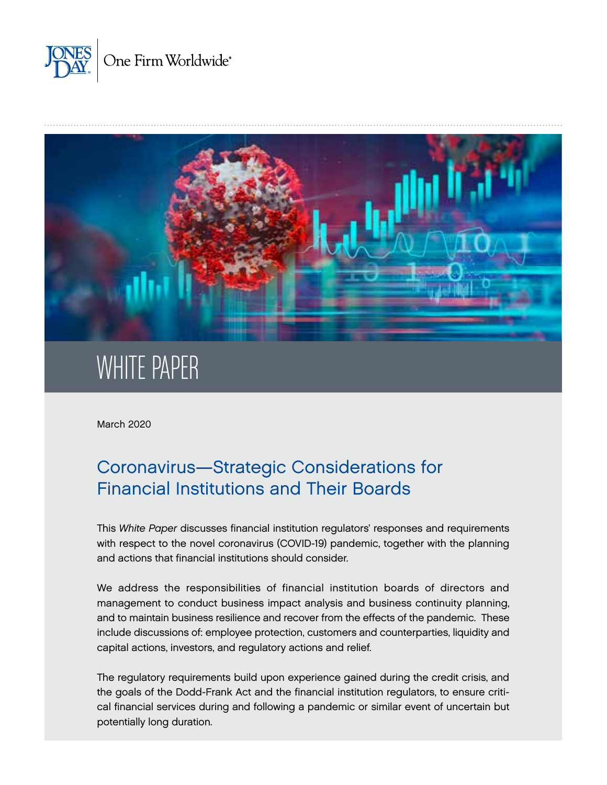



March 2020

# Coronavirus—Strategic Considerations for Financial Institutions and Their Boards

This *White Paper* discusses financial institution regulators' responses and requirements with respect to the novel coronavirus (COVID-19) pandemic, together with the planning and actions that financial institutions should consider.

We address the responsibilities of financial institution boards of directors and management to conduct business impact analysis and business continuity planning, and to maintain business resilience and recover from the effects of the pandemic. These include discussions of: employee protection, customers and counterparties, liquidity and capital actions, investors, and regulatory actions and relief.

The regulatory requirements build upon experience gained during the credit crisis, and the goals of the Dodd-Frank Act and the financial institution regulators, to ensure critical financial services during and following a pandemic or similar event of uncertain but potentially long duration.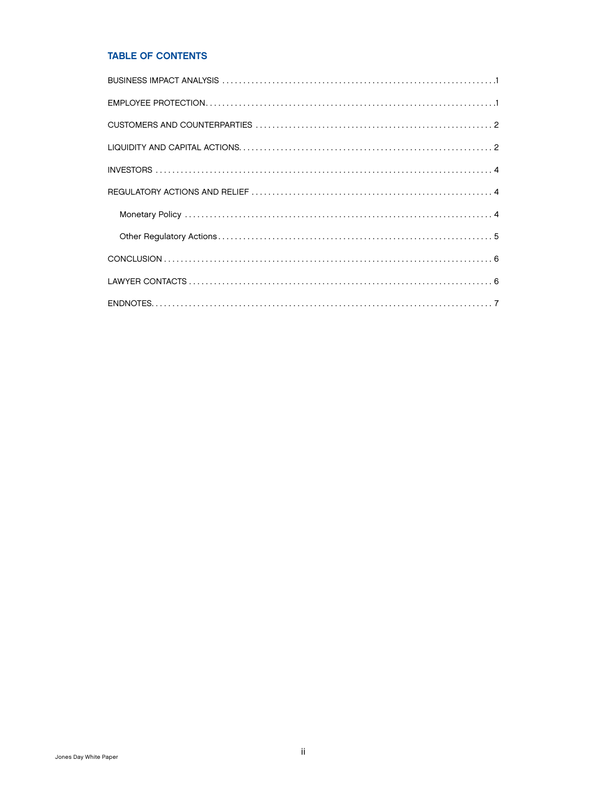# TABLE OF CONTENTS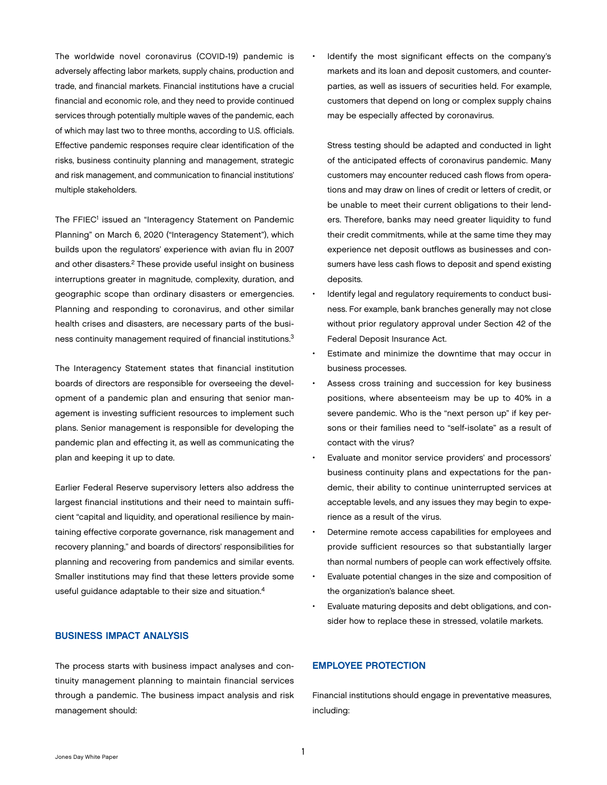<span id="page-2-0"></span>The worldwide novel coronavirus (COVID-19) pandemic is adversely affecting labor markets, supply chains, production and trade, and financial markets. Financial institutions have a crucial financial and economic role, and they need to provide continued services through potentially multiple waves of the pandemic, each of which may last two to three months, according to U.S. officials. Effective pandemic responses require clear identification of the risks, business continuity planning and management, strategic and risk management, and communication to financial institutions' multiple stakeholders.

The FFIEC<sup>1</sup> issued an "Interagency Statement on Pandemic Planning" on March 6, 2020 ("Interagency Statement"), which builds upon the regulators' experience with avian flu in 2007 and other disasters.<sup>2</sup> These provide useful insight on business interruptions greater in magnitude, complexity, duration, and geographic scope than ordinary disasters or emergencies. Planning and responding to coronavirus, and other similar health crises and disasters, are necessary parts of the business continuity management required of financial institutions.<sup>3</sup>

The Interagency Statement states that financial institution boards of directors are responsible for overseeing the development of a pandemic plan and ensuring that senior management is investing sufficient resources to implement such plans. Senior management is responsible for developing the pandemic plan and effecting it, as well as communicating the plan and keeping it up to date.

Earlier Federal Reserve supervisory letters also address the largest financial institutions and their need to maintain sufficient "capital and liquidity, and operational resilience by maintaining effective corporate governance, risk management and recovery planning," and boards of directors' responsibilities for planning and recovering from pandemics and similar events. Smaller institutions may find that these letters provide some useful guidance adaptable to their size and situation.4

#### BUSINESS IMPACT ANALYSIS

The process starts with business impact analyses and continuity management planning to maintain financial services through a pandemic. The business impact analysis and risk management should:

• Identify the most significant effects on the company's markets and its loan and deposit customers, and counterparties, as well as issuers of securities held. For example, customers that depend on long or complex supply chains may be especially affected by coronavirus.

Stress testing should be adapted and conducted in light of the anticipated effects of coronavirus pandemic. Many customers may encounter reduced cash flows from operations and may draw on lines of credit or letters of credit, or be unable to meet their current obligations to their lenders. Therefore, banks may need greater liquidity to fund their credit commitments, while at the same time they may experience net deposit outflows as businesses and consumers have less cash flows to deposit and spend existing deposits.

- Identify legal and regulatory requirements to conduct business. For example, bank branches generally may not close without prior regulatory approval under Section 42 of the Federal Deposit Insurance Act.
- Estimate and minimize the downtime that may occur in business processes.
- Assess cross training and succession for key business positions, where absenteeism may be up to 40% in a severe pandemic. Who is the "next person up" if key persons or their families need to "self-isolate" as a result of contact with the virus?
- Evaluate and monitor service providers' and processors' business continuity plans and expectations for the pandemic, their ability to continue uninterrupted services at acceptable levels, and any issues they may begin to experience as a result of the virus.
- Determine remote access capabilities for employees and provide sufficient resources so that substantially larger than normal numbers of people can work effectively offsite.
- Evaluate potential changes in the size and composition of the organization's balance sheet.
- Evaluate maturing deposits and debt obligations, and consider how to replace these in stressed, volatile markets.

# EMPLOYEE PROTECTION

Financial institutions should engage in preventative measures, including: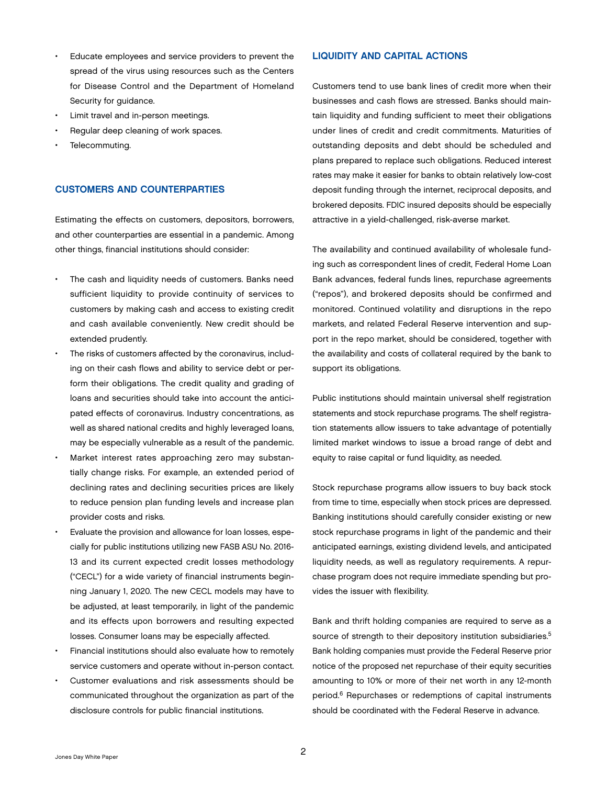- <span id="page-3-0"></span>Educate employees and service providers to prevent the spread of the virus using resources such as the Centers for Disease Control and the Department of Homeland Security for guidance.
- Limit travel and in-person meetings.
- Regular deep cleaning of work spaces.
- Telecommuting.

## CUSTOMERS AND COUNTERPARTIES

Estimating the effects on customers, depositors, borrowers, and other counterparties are essential in a pandemic. Among other things, financial institutions should consider:

- The cash and liquidity needs of customers. Banks need sufficient liquidity to provide continuity of services to customers by making cash and access to existing credit and cash available conveniently. New credit should be extended prudently.
- The risks of customers affected by the coronavirus, including on their cash flows and ability to service debt or perform their obligations. The credit quality and grading of loans and securities should take into account the anticipated effects of coronavirus. Industry concentrations, as well as shared national credits and highly leveraged loans, may be especially vulnerable as a result of the pandemic.
- Market interest rates approaching zero may substantially change risks. For example, an extended period of declining rates and declining securities prices are likely to reduce pension plan funding levels and increase plan provider costs and risks.
- Evaluate the provision and allowance for loan losses, especially for public institutions utilizing new FASB ASU No. 2016- 13 and its current expected credit losses methodology ("CECL") for a wide variety of financial instruments beginning January 1, 2020. The new CECL models may have to be adjusted, at least temporarily, in light of the pandemic and its effects upon borrowers and resulting expected losses. Consumer loans may be especially affected.
- Financial institutions should also evaluate how to remotely service customers and operate without in-person contact.
- Customer evaluations and risk assessments should be communicated throughout the organization as part of the disclosure controls for public financial institutions.

# LIQUIDITY AND CAPITAL ACTIONS

Customers tend to use bank lines of credit more when their businesses and cash flows are stressed. Banks should maintain liquidity and funding sufficient to meet their obligations under lines of credit and credit commitments. Maturities of outstanding deposits and debt should be scheduled and plans prepared to replace such obligations. Reduced interest rates may make it easier for banks to obtain relatively low-cost deposit funding through the internet, reciprocal deposits, and brokered deposits. FDIC insured deposits should be especially attractive in a yield-challenged, risk-averse market.

The availability and continued availability of wholesale funding such as correspondent lines of credit, Federal Home Loan Bank advances, federal funds lines, repurchase agreements ("repos"), and brokered deposits should be confirmed and monitored. Continued volatility and disruptions in the repo markets, and related Federal Reserve intervention and support in the repo market, should be considered, together with the availability and costs of collateral required by the bank to support its obligations.

Public institutions should maintain universal shelf registration statements and stock repurchase programs. The shelf registration statements allow issuers to take advantage of potentially limited market windows to issue a broad range of debt and equity to raise capital or fund liquidity, as needed.

Stock repurchase programs allow issuers to buy back stock from time to time, especially when stock prices are depressed. Banking institutions should carefully consider existing or new stock repurchase programs in light of the pandemic and their anticipated earnings, existing dividend levels, and anticipated liquidity needs, as well as regulatory requirements. A repurchase program does not require immediate spending but provides the issuer with flexibility.

Bank and thrift holding companies are required to serve as a source of strength to their depository institution subsidiaries.<sup>5</sup> Bank holding companies must provide the Federal Reserve prior notice of the proposed net repurchase of their equity securities amounting to 10% or more of their net worth in any 12-month period.6 Repurchases or redemptions of capital instruments should be coordinated with the Federal Reserve in advance.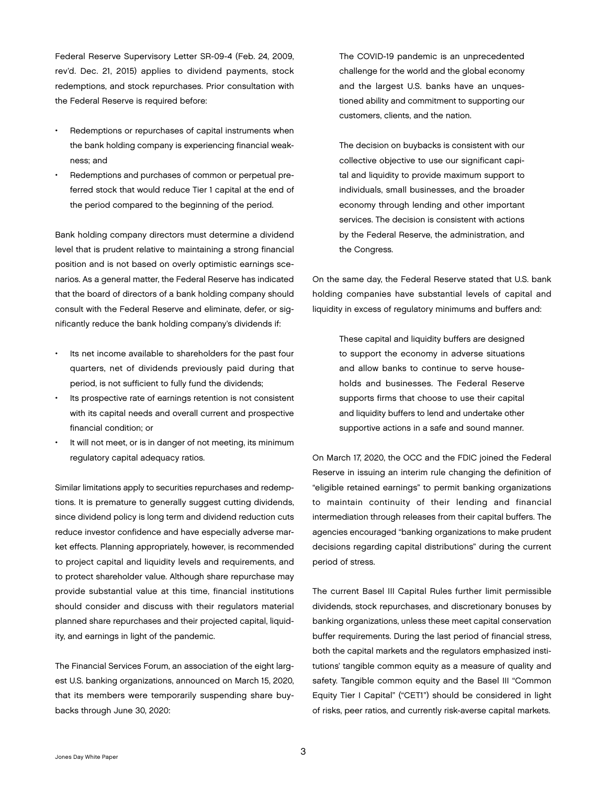Federal Reserve Supervisory Letter SR-09-4 (Feb. 24, 2009, rev'd. Dec. 21, 2015) applies to dividend payments, stock redemptions, and stock repurchases. Prior consultation with the Federal Reserve is required before:

- Redemptions or repurchases of capital instruments when the bank holding company is experiencing financial weakness; and
- Redemptions and purchases of common or perpetual preferred stock that would reduce Tier 1 capital at the end of the period compared to the beginning of the period.

Bank holding company directors must determine a dividend level that is prudent relative to maintaining a strong financial position and is not based on overly optimistic earnings scenarios. As a general matter, the Federal Reserve has indicated that the board of directors of a bank holding company should consult with the Federal Reserve and eliminate, defer, or significantly reduce the bank holding company's dividends if:

- Its net income available to shareholders for the past four quarters, net of dividends previously paid during that period, is not sufficient to fully fund the dividends;
- Its prospective rate of earnings retention is not consistent with its capital needs and overall current and prospective financial condition; or
- It will not meet, or is in danger of not meeting, its minimum regulatory capital adequacy ratios.

Similar limitations apply to securities repurchases and redemptions. It is premature to generally suggest cutting dividends, since dividend policy is long term and dividend reduction cuts reduce investor confidence and have especially adverse market effects. Planning appropriately, however, is recommended to project capital and liquidity levels and requirements, and to protect shareholder value. Although share repurchase may provide substantial value at this time, financial institutions should consider and discuss with their regulators material planned share repurchases and their projected capital, liquidity, and earnings in light of the pandemic.

The Financial Services Forum, an association of the eight largest U.S. banking organizations, announced on March 15, 2020, that its members were temporarily suspending share buybacks through June 30, 2020:

The COVID-19 pandemic is an unprecedented challenge for the world and the global economy and the largest U.S. banks have an unquestioned ability and commitment to supporting our customers, clients, and the nation.

The decision on buybacks is consistent with our collective objective to use our significant capital and liquidity to provide maximum support to individuals, small businesses, and the broader economy through lending and other important services. The decision is consistent with actions by the Federal Reserve, the administration, and the Congress.

On the same day, the Federal Reserve stated that U.S. bank holding companies have substantial levels of capital and liquidity in excess of regulatory minimums and buffers and:

> These capital and liquidity buffers are designed to support the economy in adverse situations and allow banks to continue to serve households and businesses. The Federal Reserve supports firms that choose to use their capital and liquidity buffers to lend and undertake other supportive actions in a safe and sound manner.

On March 17, 2020, the OCC and the FDIC joined the Federal Reserve in issuing an interim rule changing the definition of "eligible retained earnings" to permit banking organizations to maintain continuity of their lending and financial intermediation through releases from their capital buffers. The agencies encouraged "banking organizations to make prudent decisions regarding capital distributions" during the current period of stress.

The current Basel III Capital Rules further limit permissible dividends, stock repurchases, and discretionary bonuses by banking organizations, unless these meet capital conservation buffer requirements. During the last period of financial stress, both the capital markets and the regulators emphasized institutions' tangible common equity as a measure of quality and safety. Tangible common equity and the Basel III "Common Equity Tier I Capital" ("CET1") should be considered in light of risks, peer ratios, and currently risk-averse capital markets.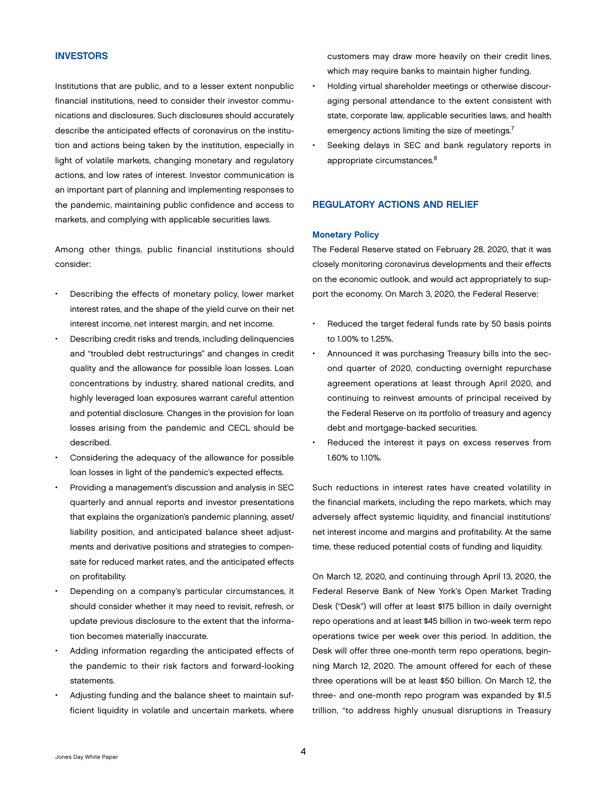### <span id="page-5-0"></span>INVESTORS

Institutions that are public, and to a lesser extent nonpublic financial institutions, need to consider their investor communications and disclosures. Such disclosures should accurately describe the anticipated effects of coronavirus on the institution and actions being taken by the institution, especially in light of volatile markets, changing monetary and regulatory actions, and low rates of interest. Investor communication is an important part of planning and implementing responses to the pandemic, maintaining public confidence and access to markets, and complying with applicable securities laws.

Among other things, public financial institutions should consider:

- Describing the effects of monetary policy, lower market interest rates, and the shape of the yield curve on their net interest income, net interest margin, and net income.
- Describing credit risks and trends, including delinquencies and "troubled debt restructurings" and changes in credit quality and the allowance for possible loan losses. Loan concentrations by industry, shared national credits, and highly leveraged loan exposures warrant careful attention and potential disclosure. Changes in the provision for loan losses arising from the pandemic and CECL should be described.
- Considering the adequacy of the allowance for possible loan losses in light of the pandemic's expected effects.
- Providing a management's discussion and analysis in SEC quarterly and annual reports and investor presentations that explains the organization's pandemic planning, asset/ liability position, and anticipated balance sheet adjustments and derivative positions and strategies to compensate for reduced market rates, and the anticipated effects on profitability.
- Depending on a company's particular circumstances, it should consider whether it may need to revisit, refresh, or update previous disclosure to the extent that the information becomes materially inaccurate.
- Adding information regarding the anticipated effects of the pandemic to their risk factors and forward-looking statements.
- Adjusting funding and the balance sheet to maintain sufficient liquidity in volatile and uncertain markets, where

customers may draw more heavily on their credit lines, which may require banks to maintain higher funding.

- Holding virtual shareholder meetings or otherwise discouraging personal attendance to the extent consistent with state, corporate law, applicable securities laws, and health emergency actions limiting the size of meetings.<sup>7</sup>
- Seeking delays in SEC and bank regulatory reports in appropriate circumstances.<sup>8</sup>

#### REGULATORY ACTIONS AND RELIEF

#### Monetary Policy

The Federal Reserve stated on February 28, 2020, that it was closely monitoring coronavirus developments and their effects on the economic outlook, and would act appropriately to support the economy. On March 3, 2020, the Federal Reserve:

- Reduced the target federal funds rate by 50 basis points to 1.00% to 1.25%.
- Announced it was purchasing Treasury bills into the second quarter of 2020, conducting overnight repurchase agreement operations at least through April 2020, and continuing to reinvest amounts of principal received by the Federal Reserve on its portfolio of treasury and agency debt and mortgage-backed securities.
- Reduced the interest it pays on excess reserves from 1.60% to 1.10%.

Such reductions in interest rates have created volatility in the financial markets, including the repo markets, which may adversely affect systemic liquidity, and financial institutions' net interest income and margins and profitability. At the same time, these reduced potential costs of funding and liquidity.

On March 12, 2020, and continuing through April 13, 2020, the Federal Reserve Bank of New York's Open Market Trading Desk ("Desk") will offer at least \$175 billion in daily overnight repo operations and at least \$45 billion in two-week term repo operations twice per week over this period. In addition, the Desk will offer three one-month term repo operations, beginning March 12, 2020. The amount offered for each of these three operations will be at least \$50 billion. On March 12, the three- and one-month repo program was expanded by \$1.5 trillion, "to address highly unusual disruptions in Treasury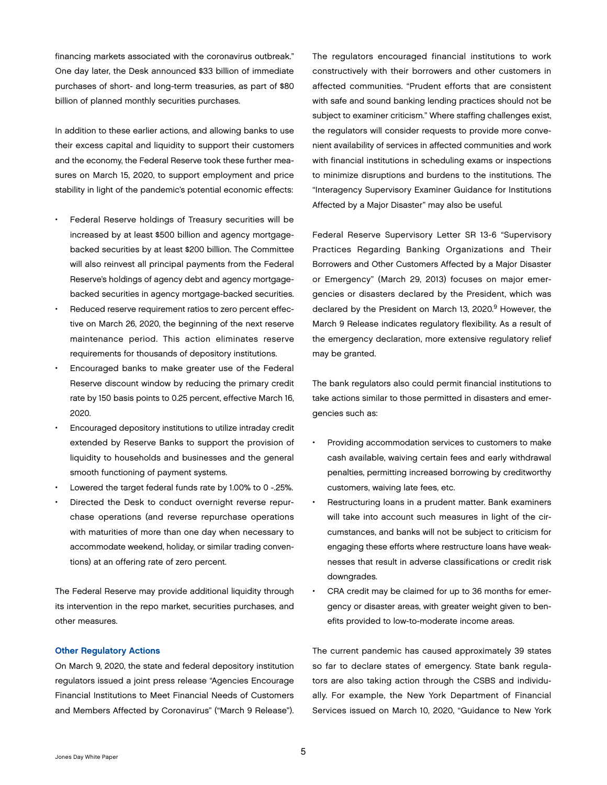<span id="page-6-0"></span>financing markets associated with the coronavirus outbreak." One day later, the Desk announced \$33 billion of immediate purchases of short- and long-term treasuries, as part of \$80 billion of planned monthly securities purchases.

In addition to these earlier actions, and allowing banks to use their excess capital and liquidity to support their customers and the economy, the Federal Reserve took these further measures on March 15, 2020, to support employment and price stability in light of the pandemic's potential economic effects:

- Federal Reserve holdings of Treasury securities will be increased by at least \$500 billion and agency mortgagebacked securities by at least \$200 billion. The Committee will also reinvest all principal payments from the Federal Reserve's holdings of agency debt and agency mortgagebacked securities in agency mortgage-backed securities.
- Reduced reserve requirement ratios to zero percent effective on March 26, 2020, the beginning of the next reserve maintenance period. This action eliminates reserve requirements for thousands of depository institutions.
- Encouraged banks to make greater use of the Federal Reserve discount window by reducing the primary credit rate by 150 basis points to 0.25 percent, effective March 16, 2020.
- Encouraged depository institutions to utilize intraday credit extended by Reserve Banks to support the provision of liquidity to households and businesses and the general smooth functioning of payment systems.
- Lowered the target federal funds rate by 1.00% to 0 -.25%.
- Directed the Desk to conduct overnight reverse repurchase operations (and reverse repurchase operations with maturities of more than one day when necessary to accommodate weekend, holiday, or similar trading conventions) at an offering rate of zero percent.

The Federal Reserve may provide additional liquidity through its intervention in the repo market, securities purchases, and other measures.

#### Other Regulatory Actions

On March 9, 2020, the state and federal depository institution regulators issued a joint press release "Agencies Encourage Financial Institutions to Meet Financial Needs of Customers and Members Affected by Coronavirus" ("March 9 Release").

The regulators encouraged financial institutions to work constructively with their borrowers and other customers in affected communities. "Prudent efforts that are consistent with safe and sound banking lending practices should not be subject to examiner criticism." Where staffing challenges exist, the regulators will consider requests to provide more convenient availability of services in affected communities and work with financial institutions in scheduling exams or inspections to minimize disruptions and burdens to the institutions. The "Interagency Supervisory Examiner Guidance for Institutions Affected by a Major Disaster" may also be useful*.*

Federal Reserve Supervisory Letter SR 13-6 "Supervisory Practices Regarding Banking Organizations and Their Borrowers and Other Customers Affected by a Major Disaster or Emergency" (March 29, 2013) focuses on major emergencies or disasters declared by the President, which was declared by the President on March 13, 2020.<sup>9</sup> However, the March 9 Release indicates regulatory flexibility. As a result of the emergency declaration, more extensive regulatory relief may be granted.

The bank regulators also could permit financial institutions to take actions similar to those permitted in disasters and emergencies such as:

- Providing accommodation services to customers to make cash available, waiving certain fees and early withdrawal penalties, permitting increased borrowing by creditworthy customers, waiving late fees, etc.
- Restructuring loans in a prudent matter. Bank examiners will take into account such measures in light of the circumstances, and banks will not be subject to criticism for engaging these efforts where restructure loans have weaknesses that result in adverse classifications or credit risk downgrades.
- CRA credit may be claimed for up to 36 months for emergency or disaster areas, with greater weight given to benefits provided to low-to-moderate income areas.

The current pandemic has caused approximately 39 states so far to declare states of emergency. State bank regulators are also taking action through the CSBS and individually. For example, the New York Department of Financial Services issued on March 10, 2020, "Guidance to New York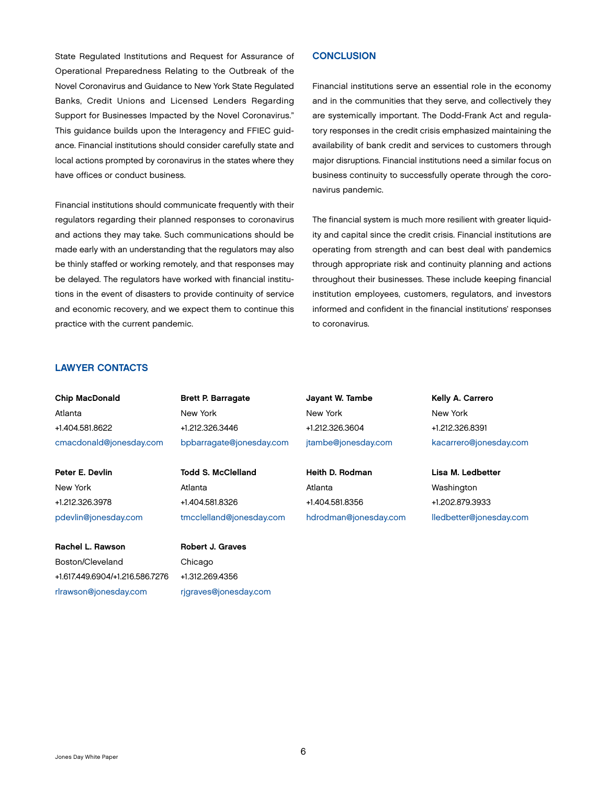<span id="page-7-0"></span>State Regulated Institutions and Request for Assurance of Operational Preparedness Relating to the Outbreak of the Novel Coronavirus and Guidance to New York State Regulated Banks, Credit Unions and Licensed Lenders Regarding Support for Businesses Impacted by the Novel Coronavirus." This guidance builds upon the Interagency and FFIEC guidance. Financial institutions should consider carefully state and local actions prompted by coronavirus in the states where they have offices or conduct business.

Financial institutions should communicate frequently with their regulators regarding their planned responses to coronavirus and actions they may take. Such communications should be made early with an understanding that the regulators may also be thinly staffed or working remotely, and that responses may be delayed. The regulators have worked with financial institutions in the event of disasters to provide continuity of service and economic recovery, and we expect them to continue this practice with the current pandemic.

# **CONCLUSION**

Financial institutions serve an essential role in the economy and in the communities that they serve, and collectively they are systemically important. The Dodd-Frank Act and regulatory responses in the credit crisis emphasized maintaining the availability of bank credit and services to customers through major disruptions. Financial institutions need a similar focus on business continuity to successfully operate through the coronavirus pandemic.

The financial system is much more resilient with greater liquidity and capital since the credit crisis. Financial institutions are operating from strength and can best deal with pandemics through appropriate risk and continuity planning and actions throughout their businesses. These include keeping financial institution employees, customers, regulators, and investors informed and confident in the financial institutions' responses to coronavirus.

## LAWYER CONTACTS

Chip MacDonald Atlanta +1.404.581.8622 [cmacdonald@jonesday.com](mailto:cmacdonald@jonesday.com) 

Peter E. Devlin New York +1.212.326.3978 [pdevlin@jonesday.com](mailto:pdevlin@jonesday.com)

Rachel L. Rawson Boston/Cleveland +1.617.449.6904/+1.216.586.7276 rlrawson@jonesday.com

Brett P. Barragate New York +1.212.326.3446 [bpbarragate@jonesday.com](mailto:bpbarragate@jonesday.com)

Todd S. McClelland Atlanta +1.404.581.8326 [tmcclelland@jonesday.com](mailto:tmcclelland@jonesday.com) 

Robert J. Graves Chicago +1.312.269.4356 rjgraves@jonesday.com Jayant W. Tambe New York +1.212.326.3604 jtambe@jonesday.com

Heith D. Rodman Atlanta +1.404.581.8356 [hdrodman@jonesday.com](mailto:hdrodman@jonesday.com) Kelly A. Carrero New York +1.212.326.8391 [kacarrero@jonesday.com](mailto:kacarrero@jonesday.com)

Lisa M. Ledbetter Washington +1.202.879.3933 lledbetter@jonesday.com